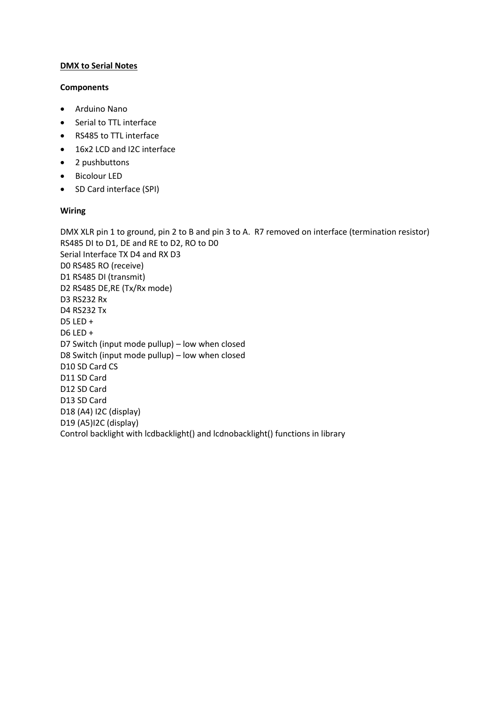# **DMX to Serial Notes**

### **Components**

- Arduino Nano
- Serial to TTL interface
- RS485 to TTL interface
- 16x2 LCD and I2C interface
- 2 pushbuttons
- Bicolour LED
- SD Card interface (SPI)

### **Wiring**

DMX XLR pin 1 to ground, pin 2 to B and pin 3 to A. R7 removed on interface (termination resistor) RS485 DI to D1, DE and RE to D2, RO to D0 Serial Interface TX D4 and RX D3 D0 RS485 RO (receive) D1 RS485 DI (transmit) D2 RS485 DE,RE (Tx/Rx mode) D3 RS232 Rx D4 RS232 Tx D5 LED + D6 LED + D7 Switch (input mode pullup) – low when closed D8 Switch (input mode pullup) – low when closed D10 SD Card CS D11 SD Card D12 SD Card D13 SD Card D18 (A4) I2C (display) D19 (A5)I2C (display) Control backlight with lcdbacklight() and lcdnobacklight() functions in library